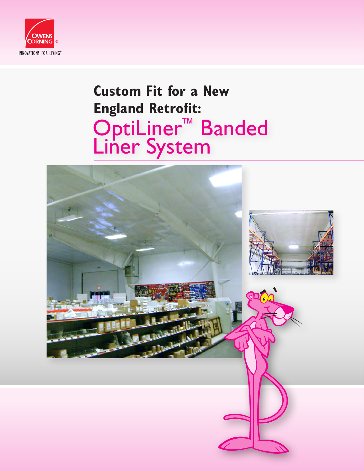

## **Custom Fit for a New England Retrofit:** OptiLiner™ Banded Liner System

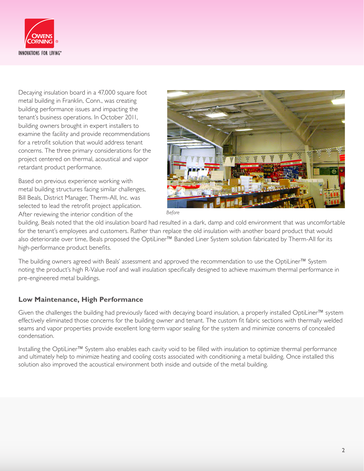

Decaying insulation board in a 47,000 square foot metal building in Franklin, Conn., was creating building performance issues and impacting the tenant's business operations. In October 2011, building owners brought in expert installers to examine the facility and provide recommendations for a retrofit solution that would address tenant concerns. The three primary considerations for the project centered on thermal, acoustical and vapor retardant product performance.

Based on previous experience working with metal building structures facing similar challenges, Bill Beals, District Manager, Therm-All, Inc. was selected to lead the retrofit project application. After reviewing the interior condition of the



building, Beals noted that the old insulation board had resulted in a dark, damp and cold environment that was uncomfortable for the tenant's employees and customers. Rather than replace the old insulation with another board product that would also deteriorate over time, Beals proposed the OptiLiner™ Banded Liner System solution fabricated by Therm-All for its high-performance product benefits.

The building owners agreed with Beals' assessment and approved the recommendation to use the OptiLiner™ System noting the product's high R-Value roof and wall insulation specifically designed to achieve maximum thermal performance in pre-engineered metal buildings.

## **Low Maintenance, High Performance**

Given the challenges the building had previously faced with decaying board insulation, a properly installed OptiLiner™ system effectively eliminated those concerns for the building owner and tenant. The custom fit fabric sections with thermally welded seams and vapor properties provide excellent long-term vapor sealing for the system and minimize concerns of concealed condensation.

Installing the OptiLiner™ System also enables each cavity void to be filled with insulation to optimize thermal performance and ultimately help to minimize heating and cooling costs associated with conditioning a metal building. Once installed this solution also improved the acoustical environment both inside and outside of the metal building.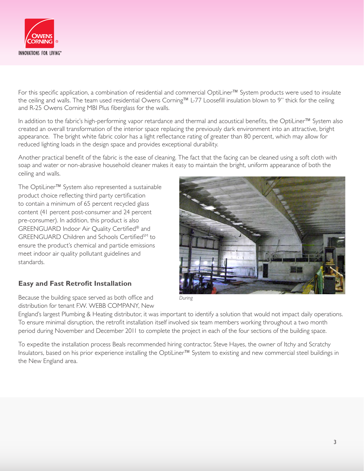

For this specific application, a combination of residential and commercial OptiLiner™ System products were used to insulate the ceiling and walls. The team used residential Owens Corning™ L-77 Loosefill insulation blown to 9" thick for the ceiling and R-25 Owens Corning MBI Plus fiberglass for the walls.

In addition to the fabric's high-performing vapor retardance and thermal and acoustical benefits, the OptiLiner™ System also created an overall transformation of the interior space replacing the previously dark environment into an attractive, bright appearance. The bright white fabric color has a light reflectance rating of greater than 80 percent, which may allow for reduced lighting loads in the design space and provides exceptional durability.

Another practical benefit of the fabric is the ease of cleaning. The fact that the facing can be cleaned using a soft cloth with soap and water or non-abrasive household cleaner makes it easy to maintain the bright, uniform appearance of both the ceiling and walls.

The OptiLiner™ System also represented a sustainable product choice reflecting third party certification to contain a minimum of 65 percent recycled glass content (41 percent post-consumer and 24 percent pre-consumer). In addition, this product is also GREENGUARD Indoor Air Quality Certified® and GREENGUARD Children and Schools Certified<sup>SM</sup> to ensure the product's chemical and particle emissions meet indoor air quality pollutant guidelines and standards.

## **Easy and Fast Retrofit Installation**

Because the building space served as both office and distribution for tenant F.W. WEBB COMPANY, New



England's largest Plumbing & Heating distributor, it was important to identify a solution that would not impact daily operations. To ensure minimal disruption, the retrofit installation itself involved six team members working throughout a two month period during November and December 2011 to complete the project in each of the four sections of the building space.

To expedite the installation process Beals recommended hiring contractor, Steve Hayes, the owner of Itchy and Scratchy Insulators, based on his prior experience installing the OptiLiner™ System to existing and new commercial steel buildings in the New England area.